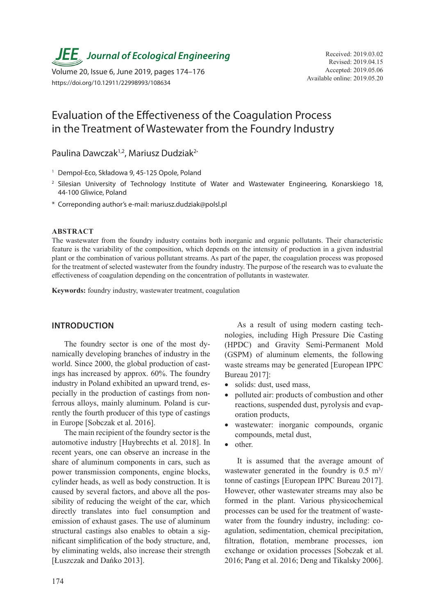**JEE** Journal of Ecological Engineering Received: 2019.03.02

Volume 20, Issue 6, June 2019, pages 174–176<br>Available online: 2019.05.20 Available online: 2019.05.20 https://doi.org/10.12911/22998993/108634

# Evaluation of the Effectiveness of the Coagulation Process in the Treatment of Wastewater from the Foundry Industry

Paulina Dawczak<sup>1,2</sup>, Mariusz Dudziak<sup>2\*</sup>

- <sup>1</sup> Dempol-Eco, Składowa 9, 45-125 Opole, Poland
- <sup>2</sup> Silesian University of Technology Institute of Water and Wastewater Engineering, Konarskiego 18, 44-100 Gliwice, Poland
- \* Correponding author's e-mail: mariusz.dudziak@polsl.pl

#### **ABSTRACT**

The wastewater from the foundry industry contains both inorganic and organic pollutants. Their characteristic feature is the variability of the composition, which depends on the intensity of production in a given industrial plant or the combination of various pollutant streams. As part of the paper, the coagulation process was proposed for the treatment of selected wastewater from the foundry industry. The purpose of the research was to evaluate the effectiveness of coagulation depending on the concentration of pollutants in wastewater.

**Keywords:** foundry industry, wastewater treatment, coagulation

### **INTRODUCTION**

The foundry sector is one of the most dynamically developing branches of industry in the world. Since 2000, the global production of castings has increased by approx. 60%. The foundry industry in Poland exhibited an upward trend, especially in the production of castings from nonferrous alloys, mainly aluminum. Poland is currently the fourth producer of this type of castings in Europe [Sobczak et al. 2016].

The main recipient of the foundry sector is the automotive industry [Huybrechts et al. 2018]. In recent years, one can observe an increase in the share of aluminum components in cars, such as power transmission components, engine blocks, cylinder heads, as well as body construction. It is caused by several factors, and above all the possibility of reducing the weight of the car, which directly translates into fuel consumption and emission of exhaust gases. The use of aluminum structural castings also enables to obtain a significant simplification of the body structure, and, by eliminating welds, also increase their strength [Łuszczak and Dańko 2013].

As a result of using modern casting technologies, including High Pressure Die Casting (HPDC) and Gravity Semi-Permanent Mold (GSPM) of aluminum elements, the following waste streams may be generated [European IPPC Bureau 2017]:

- solids: dust, used mass,
- polluted air: products of combustion and other reactions, suspended dust, pyrolysis and evaporation products,
- wastewater: inorganic compounds, organic compounds, metal dust,
- other.

It is assumed that the average amount of wastewater generated in the foundry is  $0.5 \text{ m}^3$ / tonne of castings [European IPPC Bureau 2017]. However, other wastewater streams may also be formed in the plant. Various physicochemical processes can be used for the treatment of wastewater from the foundry industry, including: coagulation, sedimentation, chemical precipitation, filtration, flotation, membrane processes, ion exchange or oxidation processes [Sobczak et al. 2016; Pang et al. 2016; Deng and Tikalsky 2006].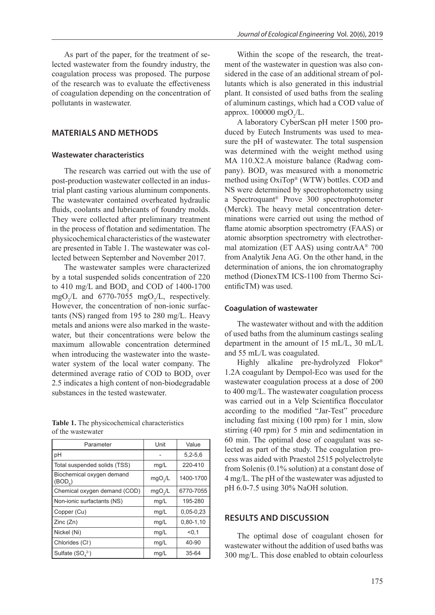As part of the paper, for the treatment of selected wastewater from the foundry industry, the coagulation process was proposed. The purpose of the research was to evaluate the effectiveness of coagulation depending on the concentration of pollutants in wastewater.

# **MATERIALS AND METHODS**

#### **Wastewater characteristics**

The research was carried out with the use of post-production wastewater collected in an industrial plant casting various aluminum components. The wastewater contained overheated hydraulic fluids, coolants and lubricants of foundry molds. They were collected after preliminary treatment in the process of flotation and sedimentation. The physicochemical characteristics of the wastewater are presented in Table 1. The wastewater was collected between September and November 2017.

The wastewater samples were characterized by a total suspended solids concentration of 220 to  $410 \text{ mg/L}$  and  $BOD_5$  and COD of  $1400$ -1700 mgO<sub>2</sub>/L and 6770-7055 mgO<sub>2</sub>/L, respectively. However, the concentration of non-ionic surfactants (NS) ranged from 195 to 280 mg/L. Heavy metals and anions were also marked in the wastewater, but their concentrations were below the maximum allowable concentration determined when introducing the wastewater into the wastewater system of the local water company. The determined average ratio of COD to  $BOD_5$  over 2.5 indicates a high content of non-biodegradable substances in the tested wastewater.

**Table 1.** The physicochemical characteristics of the wastewater

| Parameter                                        | Unit                | Value       |
|--------------------------------------------------|---------------------|-------------|
| pH                                               |                     | $5,2-5,6$   |
| Total suspended solids (TSS)                     | mg/L                | 220-410     |
| Biochemical oxygen demand<br>(BOD <sub>c</sub> ) | mgO <sub>2</sub> /L | 1400-1700   |
| Chemical oxygen demand (COD)                     | mgO <sub>2</sub> /L | 6770-7055   |
| Non-ionic surfactants (NS)                       | mg/L                | 195-280     |
| Copper (Cu)                                      | mg/L                | $0,05-0,23$ |
| Zinc(Zn)                                         | mg/L                | $0,80-1,10$ |
| Nickel (Ni)                                      | mg/L                | < 0.1       |
| Chlorides (Cl <sup>-</sup> )                     | mg/L                | 40-90       |
| Sulfate $(SO42)$                                 | mg/L                | 35-64       |

Within the scope of the research, the treatment of the wastewater in question was also considered in the case of an additional stream of pollutants which is also generated in this industrial plant. It consisted of used baths from the sealing of aluminum castings, which had a COD value of approx.  $100000$  mgO<sub>2</sub>/L.

A laboratory CyberScan pH meter 1500 produced by Eutech Instruments was used to measure the pH of wastewater. The total suspension was determined with the weight method using MA 110.X2.A moisture balance (Radwag company).  $\text{BOD}_5$  was measured with a monometric method using OxiTop® (WTW) bottles. COD and NS were determined by spectrophotometry using a Spectroquant® Prove 300 spectrophotometer (Merck). The heavy metal concentration determinations were carried out using the method of flame atomic absorption spectrometry (FAAS) or atomic absorption spectrometry with electrothermal atomization (ET AAS) using contrAA® 700 from Analytik Jena AG. On the other hand, in the determination of anions, the ion chromatography method (DionexTM ICS-1100 from Thermo ScientificTM) was used.

#### **Coagulation of wastewater**

The wastewater without and with the addition of used baths from the aluminum castings sealing department in the amount of 15 mL/L, 30 mL/L and 55 mL/L was coagulated.

Highly alkaline pre-hydrolyzed Flokor® 1.2A coagulant by Dempol-Eco was used for the wastewater coagulation process at a dose of 200 to 400 mg/L. The wastewater coagulation process was carried out in a Velp Scientifica flocculator according to the modified "Jar-Test" procedure including fast mixing (100 rpm) for 1 min, slow stirring (40 rpm) for 5 min and sedimentation in 60 min. The optimal dose of coagulant was selected as part of the study. The coagulation process was aided with Praestol 2515 polyelectrolyte from Solenis (0.1% solution) at a constant dose of 4 mg/L. The pH of the wastewater was adjusted to pH 6.0-7.5 using 30% NaOH solution.

# **RESULTS AND DISCUSSION**

The optimal dose of coagulant chosen for wastewater without the addition of used baths was 300 mg/L. This dose enabled to obtain colourless